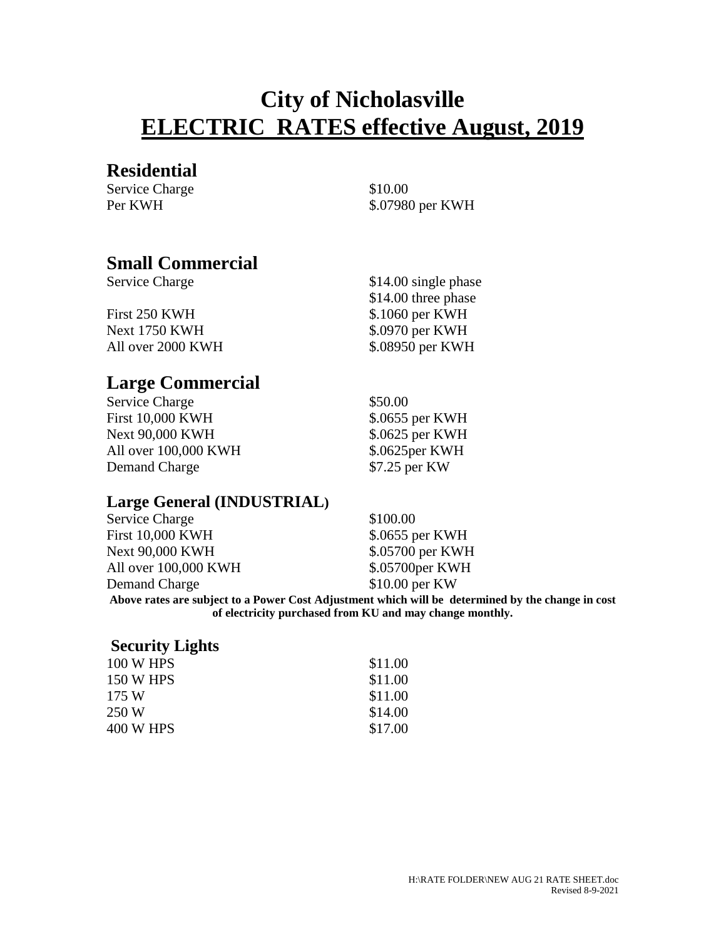# **City of Nicholasville ELECTRIC RATES effective August, 2019**

#### **Residential**

Service Charge  $$10.00$ 

Per KWH  $$.07980$  per KWH

#### **Small Commercial**

Service Charge  $$14.00$  single phase

First 250 KWH \$.1060 per KWH Next 1750 KWH \$.0970 per KWH All over 2000 KWH  $$.08950$  per KWH

**Large Commercial**

Service Charge  $$50.00$ First 10,000 KWH \$.0655 per KWH Next 90,000 KWH \$.0625 per KWH All over 100,000 KWH \$.0625 per KWH Demand Charge \$7.25 per KW

\$14.00 three phase

#### **Large General (INDUSTRIAL)**

| of electricity purchased from KU and may change monthly.                                          |                  |  |  |
|---------------------------------------------------------------------------------------------------|------------------|--|--|
| Above rates are subject to a Power Cost Adjustment which will be determined by the change in cost |                  |  |  |
| Demand Charge                                                                                     | $$10.00$ per KW  |  |  |
| All over 100,000 KWH                                                                              | \$.05700 per KWH |  |  |
| Next 90,000 KWH                                                                                   | \$.05700 per KWH |  |  |
| First 10,000 KWH                                                                                  | \$.0655 per KWH  |  |  |
| <b>Service Charge</b>                                                                             | \$100.00         |  |  |

#### **Security Lights**

| 100 W HPS | \$11.00 |
|-----------|---------|
| 150 W HPS | \$11.00 |
| 175 W     | \$11.00 |
| 250 W     | \$14.00 |
| 400 W HPS | \$17.00 |
|           |         |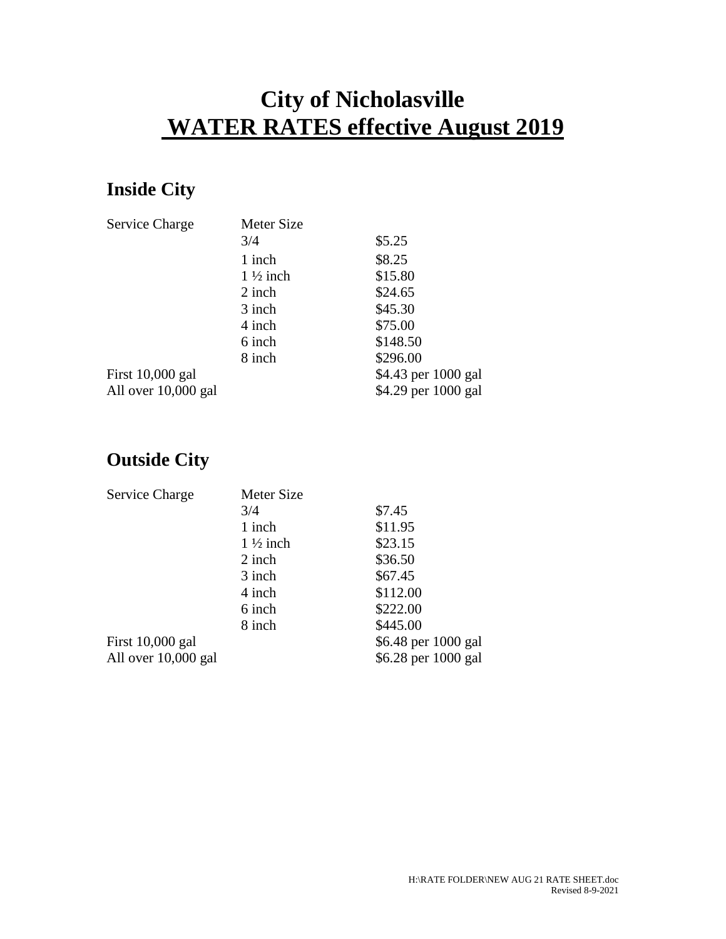# **City of Nicholasville WATER RATES effective August 2019**

### **Inside City**

| Service Charge      | Meter Size          |                     |
|---------------------|---------------------|---------------------|
|                     | 3/4                 | \$5.25              |
|                     | 1 inch              | \$8.25              |
|                     | $1\frac{1}{2}$ inch | \$15.80             |
|                     | 2 inch              | \$24.65             |
|                     | 3 inch              | \$45.30             |
|                     | 4 inch              | \$75.00             |
|                     | 6 inch              | \$148.50            |
|                     | 8 inch              | \$296.00            |
| First 10,000 gal    |                     | \$4.43 per 1000 gal |
| All over 10,000 gal |                     | \$4.29 per 1000 gal |

### **Outside City**

| Service Charge      | Meter Size          |                     |
|---------------------|---------------------|---------------------|
|                     | 3/4                 | \$7.45              |
|                     | 1 inch              | \$11.95             |
|                     | $1\frac{1}{2}$ inch | \$23.15             |
|                     | 2 inch              | \$36.50             |
|                     | 3 inch              | \$67.45             |
|                     | 4 inch              | \$112.00            |
|                     | 6 inch              | \$222.00            |
|                     | 8 inch              | \$445.00            |
| First $10,000$ gal  |                     | \$6.48 per 1000 gal |
| All over 10,000 gal |                     | \$6.28 per 1000 gal |
|                     |                     |                     |